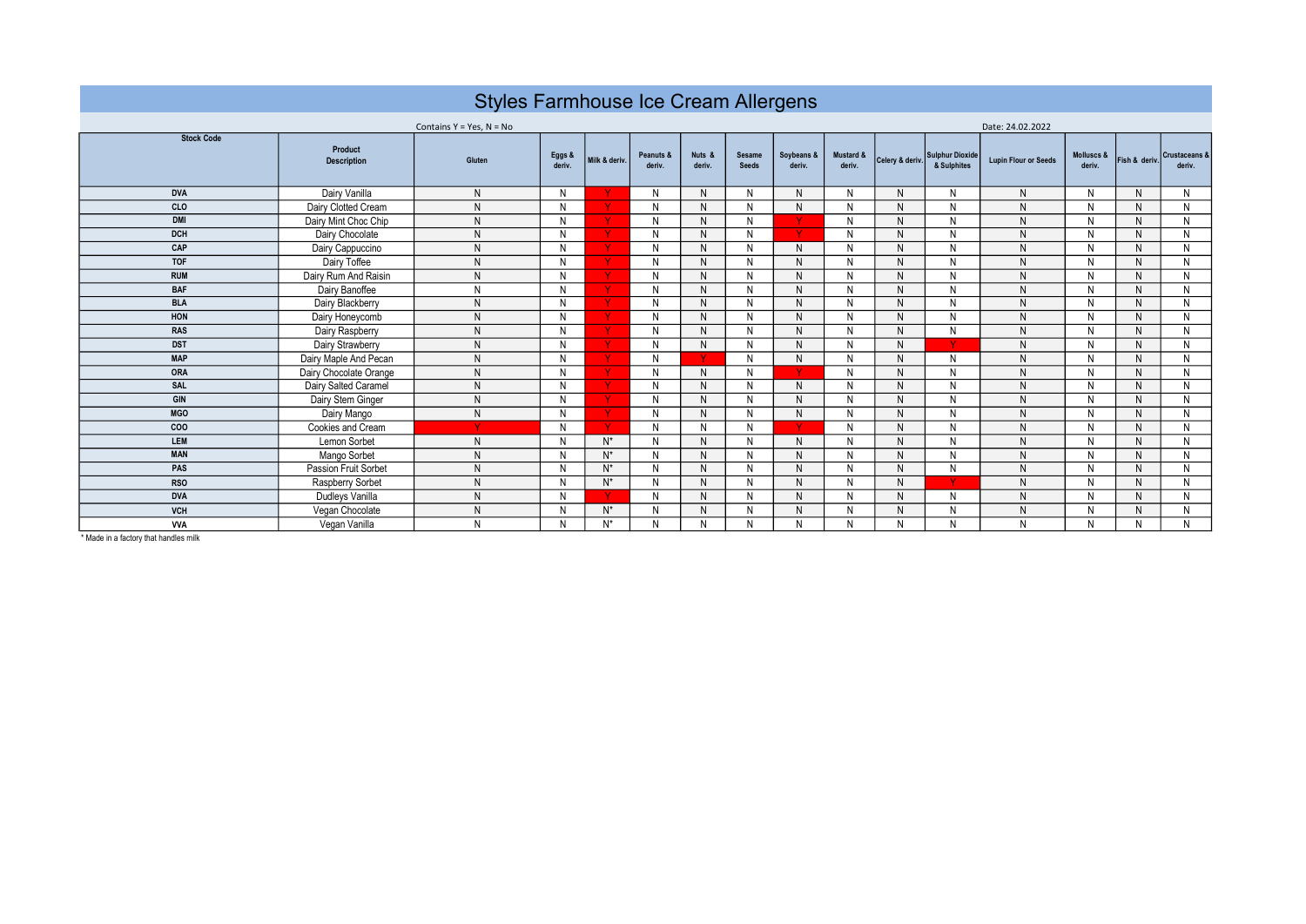| Styles Farmhouse Ice Cream Allergens |                               |                |                  |               |                     |                  |                               |                      |                     |              |                                                |                             |                      |               |                                    |  |  |  |  |
|--------------------------------------|-------------------------------|----------------|------------------|---------------|---------------------|------------------|-------------------------------|----------------------|---------------------|--------------|------------------------------------------------|-----------------------------|----------------------|---------------|------------------------------------|--|--|--|--|
| Contains $Y = Yes$ , $N = No$        |                               |                |                  |               |                     |                  |                               |                      |                     |              | Date: 24.02.2022                               |                             |                      |               |                                    |  |  |  |  |
| <b>Stock Code</b>                    | Product<br><b>Description</b> | Gluten         | Eggs &<br>deriv. | Milk & deriv. | Peanuts &<br>deriv. | Nuts &<br>deriv. | <b>Sesame</b><br><b>Seeds</b> | Soybeans &<br>deriv. | Mustard &<br>deriv. |              | Celery & deriv. Sulphur Dioxide<br>& Sulphites | <b>Lupin Flour or Seeds</b> | Molluscs &<br>deriv. | Fish & deriv. | <b>Crustaceans &amp;</b><br>deriv. |  |  |  |  |
| <b>DVA</b>                           | Dairy Vanilla                 | N <sub>1</sub> | N                |               | N                   | N                | N                             | N                    | N                   | N            | N                                              | N                           | N                    | N             | N                                  |  |  |  |  |
| CLO                                  | Dairy Clotted Cream           | N              | N                |               | N                   | N                | N                             | N                    | N                   | N            | N                                              | N                           | N                    | N             | N                                  |  |  |  |  |
| <b>DMI</b>                           | Dairy Mint Choc Chip          | N              | N                |               | N                   | N                | N                             |                      | N                   | N            | N                                              | N                           | N                    | N             | N                                  |  |  |  |  |
| <b>DCH</b>                           | Dairy Chocolate               | N              | N                |               | N                   | N                | N                             | <b>V</b>             | N                   | N            | N                                              | N                           | N                    | N             | N                                  |  |  |  |  |
| CAP                                  | Dairy Cappuccino              | N              | N                |               | N                   | $\mathsf{N}$     | N                             | N                    | N                   | $\mathsf{N}$ | N                                              | N                           | N                    | N.            | N                                  |  |  |  |  |
| <b>TOF</b>                           | Dairy Toffee                  | N              | N                |               | N                   | N                | N                             | N                    | N                   | $\mathsf{N}$ | N                                              | N                           | N                    | N             | N                                  |  |  |  |  |
| <b>RUM</b>                           | Dairy Rum And Raisin          | N              | N                |               | N                   | N                | N                             | N                    | N                   | N            | N                                              | N                           | N                    | N             | N                                  |  |  |  |  |
| <b>BAF</b>                           | Dairy Banoffee                | N              | N                |               | N                   | $\mathsf{N}$     | N                             | $\mathsf{N}$         | N                   | $\mathsf{N}$ | N                                              | N                           | N                    | N.            | N                                  |  |  |  |  |
| <b>BLA</b>                           | Dairy Blackberry              | N              | N                |               | N                   | N                | N                             | N                    | N                   | $\mathsf{N}$ | N                                              | N                           | N                    | N             | N                                  |  |  |  |  |
| HON                                  | Dairy Honeycomb               | N              | N                |               | N                   | N                | N                             | N                    | N                   | N            | N                                              | ${\sf N}$                   | N                    | N             | N                                  |  |  |  |  |
| <b>RAS</b>                           | Dairy Raspberry               | N              | N                |               | N                   | $\mathsf{N}$     | N                             | N                    | N                   | $\mathsf{N}$ | N                                              | N                           | N                    | N             | N                                  |  |  |  |  |
| <b>DST</b>                           | Dairy Strawberry              | N              | N                |               | N                   | N                | N                             | N                    | N                   | N            |                                                | N                           | N                    | N             | N                                  |  |  |  |  |
| <b>MAP</b>                           | Dairy Maple And Pecan         | N              | N                |               | N                   | <b>N</b>         | N                             | $\mathsf{N}$         | N                   | $\mathsf{N}$ | N                                              | N                           | N                    | N             | N                                  |  |  |  |  |
| ORA                                  | Dairy Chocolate Orange        | N              | N                |               | N                   | N                | N                             | <b>V</b>             | N                   | $\mathsf{N}$ | N                                              | N                           | N                    | N             | N                                  |  |  |  |  |
| SAL                                  | Dairy Salted Caramel          | N              | N                |               | N                   | $\mathsf{N}$     | N                             | N                    | N                   | $\mathsf{N}$ | N                                              | N                           | N                    | N             | $\mathsf{N}$                       |  |  |  |  |
| GIN                                  | Dairy Stem Ginger             | N              | N                |               | N                   | N                | N                             | N                    | N                   | N            | N                                              | N                           | N                    | N             | N                                  |  |  |  |  |
| <b>MGO</b>                           | Dairy Mango                   | $\mathsf{N}$   | N                |               | N                   | N                | N                             | N                    | N                   | N            | N                                              | N                           | N                    | N             | N                                  |  |  |  |  |
| COO                                  | Cookies and Cream             | v              | N                |               | N                   | $\mathsf{N}$     | N                             | $\mathbf v$          | N                   | N            | N                                              | N                           | N                    | N             | N                                  |  |  |  |  |
| LEM                                  | Lemon Sorbet                  | N              | N                | $N^*$         | N                   | N                | N                             | N                    | N                   | N            | N                                              | N                           | N                    | N             | N                                  |  |  |  |  |
| <b>MAN</b>                           | Mango Sorbet                  | N              | N                | $N^*$         | N                   | N                | N                             | N                    | N                   | ${\sf N}$    | N                                              | ${\sf N}$                   | N                    | N             | N                                  |  |  |  |  |
| PAS                                  | Passion Fruit Sorbet          | N              | N                | N*            | N                   | N                | N                             | N                    | N                   | N            | N                                              | N                           | N                    | N             | N                                  |  |  |  |  |
| <b>RSO</b>                           | Raspberry Sorbet              | N              | N                | $N^*$         | N                   | N                | N                             | N                    | N                   | N            |                                                | N                           | N                    | N             | N                                  |  |  |  |  |
| <b>DVA</b>                           | Dudleys Vanilla               | N              | N                |               | N                   | $\mathsf{N}$     | N                             | N                    | N                   | $\mathsf{N}$ | N                                              | N                           | N                    | N             | N                                  |  |  |  |  |
| <b>VCH</b>                           | Vegan Chocolate               | N              | N                | $N^*$         | N                   | N                | N                             | N                    | N                   | N            | N                                              | N                           | N                    | N             | N                                  |  |  |  |  |
| <b>VVA</b>                           | Vegan Vanilla                 | N              | N                | $N^*$         | N                   | N                | N                             | N                    | N                   | N            | N                                              | N                           | N                    | N             | N                                  |  |  |  |  |

\* Made in a factory that handles milk